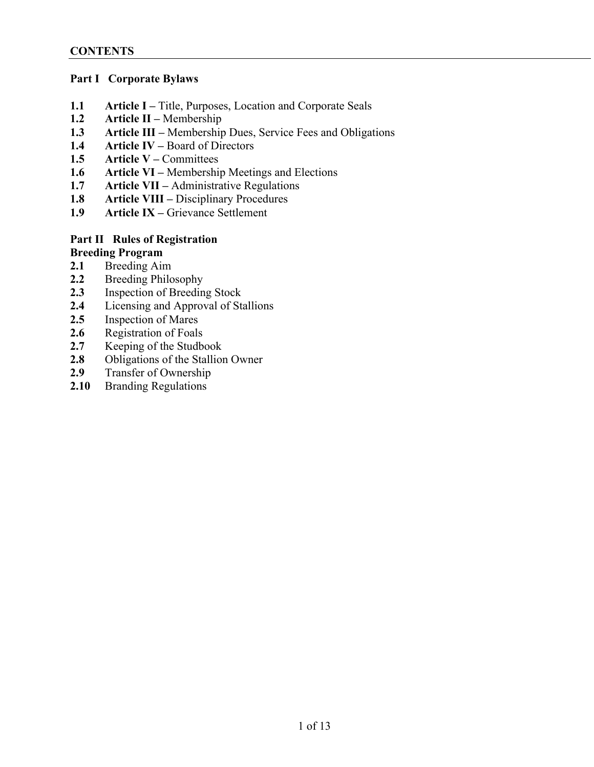# **Part I Corporate Bylaws**

- **1.1 Article I** Title, Purposes, Location and Corporate Seals
- **1.2 Article II –** Membership
- **1.3 Article III –** Membership Dues, Service Fees and Obligations
- **1.4 Article IV –** Board of Directors
- **1.5 Article V –** Committees
- **1.6 Article VI –** Membership Meetings and Elections
- **1.7 Article VII –** Administrative Regulations
- **1.8 Article VIII –** Disciplinary Procedures
- **1.9 Article IX –** Grievance Settlement

### **Part II Rules of Registration**

### **Breeding Program**

- **2.1** Breeding Aim
- **2.2** Breeding Philosophy
- **2.3** Inspection of Breeding Stock
- **2.4** Licensing and Approval of Stallions
- **2.5** Inspection of Mares
- **2.6** Registration of Foals
- **2.7** Keeping of the Studbook
- **2.8** Obligations of the Stallion Owner
- **2.9** Transfer of Ownership
- **2.10** Branding Regulations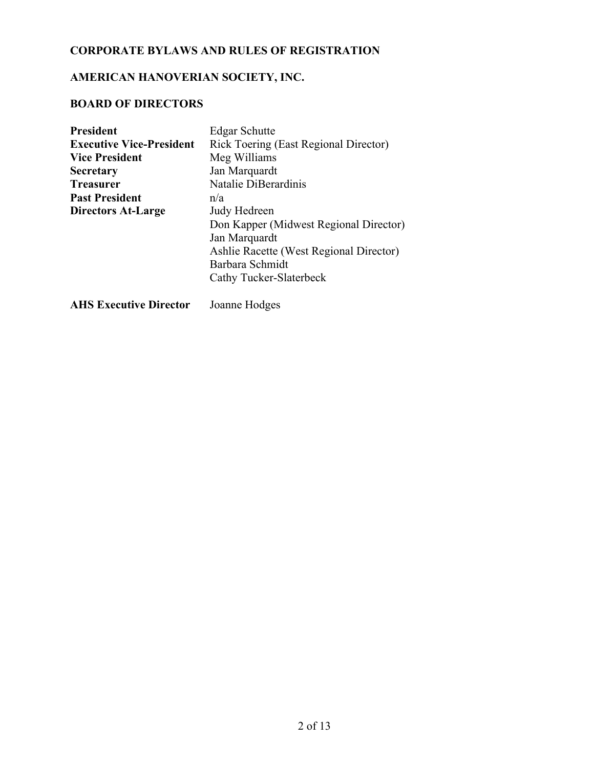# **CORPORATE BYLAWS AND RULES OF REGISTRATION**

# **AMERICAN HANOVERIAN SOCIETY, INC.**

# **BOARD OF DIRECTORS**

| <b>President</b>                | <b>Edgar Schutte</b>                    |
|---------------------------------|-----------------------------------------|
| <b>Executive Vice-President</b> | Rick Toering (East Regional Director)   |
| <b>Vice President</b>           | Meg Williams                            |
| <b>Secretary</b>                | Jan Marquardt                           |
| <b>Treasurer</b>                | Natalie DiBerardinis                    |
| <b>Past President</b>           | n/a                                     |
| <b>Directors At-Large</b>       | Judy Hedreen                            |
|                                 | Don Kapper (Midwest Regional Director)  |
|                                 | Jan Marquardt                           |
|                                 | Ashlie Racette (West Regional Director) |
|                                 | Barbara Schmidt                         |
|                                 | Cathy Tucker-Slaterbeck                 |
| <b>AHS Executive Director</b>   | Joanne Hodges                           |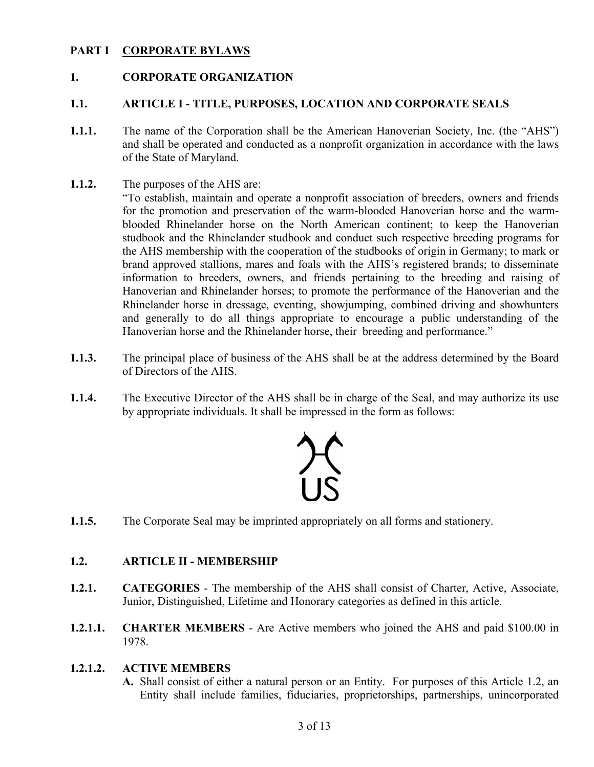# **PART I CORPORATE BYLAWS**

# **1. CORPORATE ORGANIZATION**

# **1.1. ARTICLE I - TITLE, PURPOSES, LOCATION AND CORPORATE SEALS**

- **1.1.1.** The name of the Corporation shall be the American Hanoverian Society, Inc. (the "AHS") and shall be operated and conducted as a nonprofit organization in accordance with the laws of the State of Maryland.
- **1.1.2.** The purposes of the AHS are:

"To establish, maintain and operate a nonprofit association of breeders, owners and friends for the promotion and preservation of the warm-blooded Hanoverian horse and the warmblooded Rhinelander horse on the North American continent; to keep the Hanoverian studbook and the Rhinelander studbook and conduct such respective breeding programs for the AHS membership with the cooperation of the studbooks of origin in Germany; to mark or brand approved stallions, mares and foals with the AHS's registered brands; to disseminate information to breeders, owners, and friends pertaining to the breeding and raising of Hanoverian and Rhinelander horses; to promote the performance of the Hanoverian and the Rhinelander horse in dressage, eventing, showjumping, combined driving and showhunters and generally to do all things appropriate to encourage a public understanding of the Hanoverian horse and the Rhinelander horse, their breeding and performance."

- **1.1.3.** The principal place of business of the AHS shall be at the address determined by the Board of Directors of the AHS.
- **1.1.4.** The Executive Director of the AHS shall be in charge of the Seal, and may authorize its use by appropriate individuals. It shall be impressed in the form as follows:



**1.1.5.** The Corporate Seal may be imprinted appropriately on all forms and stationery.

#### **1.2. ARTICLE II - MEMBERSHIP**

- **1.2.1. CATEGORIES** The membership of the AHS shall consist of Charter, Active, Associate, Junior, Distinguished, Lifetime and Honorary categories as defined in this article.
- **1.2.1.1. CHARTER MEMBERS** Are Active members who joined the AHS and paid \$100.00 in 1978.

#### **1.2.1.2. ACTIVE MEMBERS**

**A.** Shall consist of either a natural person or an Entity. For purposes of this Article 1.2, an Entity shall include families, fiduciaries, proprietorships, partnerships, unincorporated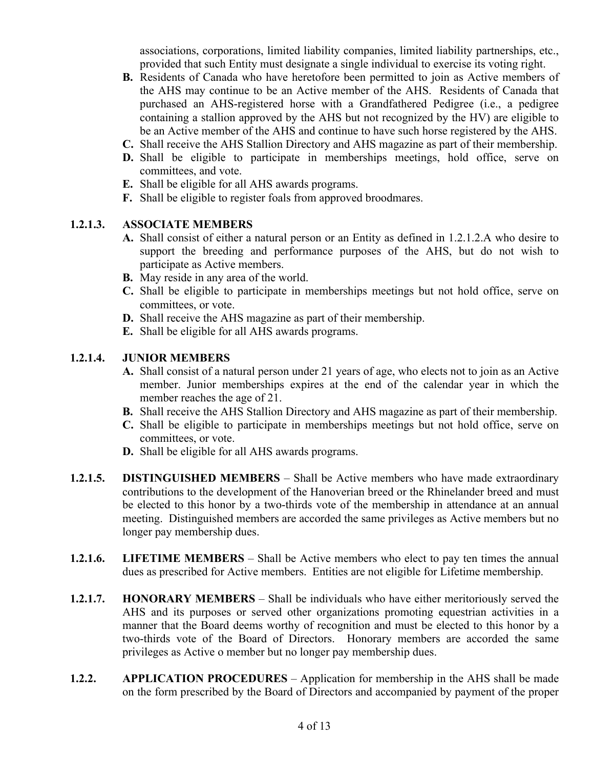associations, corporations, limited liability companies, limited liability partnerships, etc., provided that such Entity must designate a single individual to exercise its voting right.

- **B.** Residents of Canada who have heretofore been permitted to join as Active members of the AHS may continue to be an Active member of the AHS. Residents of Canada that purchased an AHS-registered horse with a Grandfathered Pedigree (i.e., a pedigree containing a stallion approved by the AHS but not recognized by the HV) are eligible to be an Active member of the AHS and continue to have such horse registered by the AHS.
- **C.** Shall receive the AHS Stallion Directory and AHS magazine as part of their membership.
- **D.** Shall be eligible to participate in memberships meetings, hold office, serve on committees, and vote.
- **E.** Shall be eligible for all AHS awards programs.
- **F.** Shall be eligible to register foals from approved broodmares.

### **1.2.1.3. ASSOCIATE MEMBERS**

- **A.** Shall consist of either a natural person or an Entity as defined in 1.2.1.2.A who desire to support the breeding and performance purposes of the AHS, but do not wish to participate as Active members.
- **B.** May reside in any area of the world.
- **C.** Shall be eligible to participate in memberships meetings but not hold office, serve on committees, or vote.
- **D.** Shall receive the AHS magazine as part of their membership.
- **E.** Shall be eligible for all AHS awards programs.

### **1.2.1.4. JUNIOR MEMBERS**

- **A.** Shall consist of a natural person under 21 years of age, who elects not to join as an Active member. Junior memberships expires at the end of the calendar year in which the member reaches the age of 21.
- **B.** Shall receive the AHS Stallion Directory and AHS magazine as part of their membership.
- **C.** Shall be eligible to participate in memberships meetings but not hold office, serve on committees, or vote.
- **D.** Shall be eligible for all AHS awards programs.
- **1.2.1.5. DISTINGUISHED MEMBERS** Shall be Active members who have made extraordinary contributions to the development of the Hanoverian breed or the Rhinelander breed and must be elected to this honor by a two-thirds vote of the membership in attendance at an annual meeting. Distinguished members are accorded the same privileges as Active members but no longer pay membership dues.
- **1.2.1.6. LIFETIME MEMBERS** Shall be Active members who elect to pay ten times the annual dues as prescribed for Active members. Entities are not eligible for Lifetime membership.
- **1.2.1.7. HONORARY MEMBERS** Shall be individuals who have either meritoriously served the AHS and its purposes or served other organizations promoting equestrian activities in a manner that the Board deems worthy of recognition and must be elected to this honor by a two-thirds vote of the Board of Directors. Honorary members are accorded the same privileges as Active o member but no longer pay membership dues.
- **1.2.2. APPLICATION PROCEDURES** Application for membership in the AHS shall be made on the form prescribed by the Board of Directors and accompanied by payment of the proper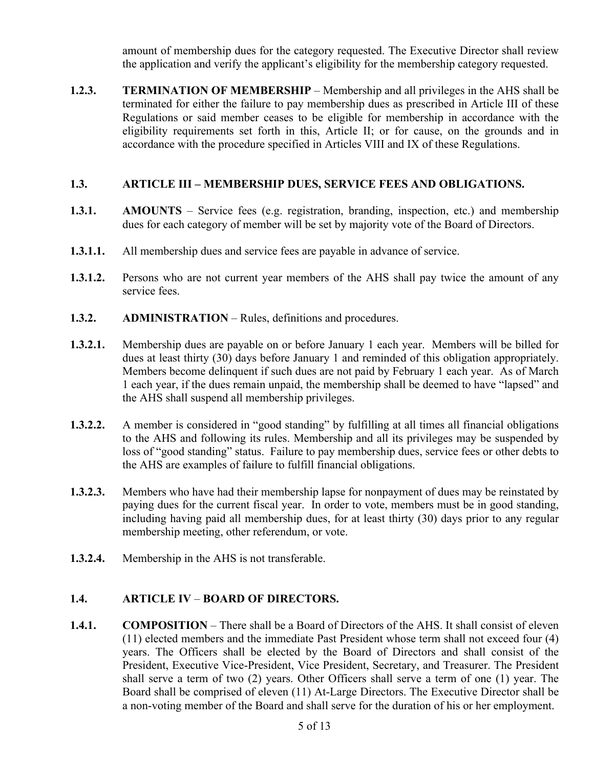amount of membership dues for the category requested. The Executive Director shall review the application and verify the applicant's eligibility for the membership category requested.

**1.2.3. TERMINATION OF MEMBERSHIP** – Membership and all privileges in the AHS shall be terminated for either the failure to pay membership dues as prescribed in Article III of these Regulations or said member ceases to be eligible for membership in accordance with the eligibility requirements set forth in this, Article II; or for cause, on the grounds and in accordance with the procedure specified in Articles VIII and IX of these Regulations.

# **1.3. ARTICLE III – MEMBERSHIP DUES, SERVICE FEES AND OBLIGATIONS.**

- **1.3.1. AMOUNTS** Service fees (e.g. registration, branding, inspection, etc.) and membership dues for each category of member will be set by majority vote of the Board of Directors.
- **1.3.1.1.** All membership dues and service fees are payable in advance of service.
- **1.3.1.2.** Persons who are not current year members of the AHS shall pay twice the amount of any service fees.
- **1.3.2. ADMINISTRATION** Rules, definitions and procedures.
- **1.3.2.1.** Membership dues are payable on or before January 1 each year. Members will be billed for dues at least thirty (30) days before January 1 and reminded of this obligation appropriately. Members become delinquent if such dues are not paid by February 1 each year. As of March 1 each year, if the dues remain unpaid, the membership shall be deemed to have "lapsed" and the AHS shall suspend all membership privileges.
- **1.3.2.2.** A member is considered in "good standing" by fulfilling at all times all financial obligations to the AHS and following its rules. Membership and all its privileges may be suspended by loss of "good standing" status. Failure to pay membership dues, service fees or other debts to the AHS are examples of failure to fulfill financial obligations.
- **1.3.2.3.** Members who have had their membership lapse for nonpayment of dues may be reinstated by paying dues for the current fiscal year. In order to vote, members must be in good standing, including having paid all membership dues, for at least thirty (30) days prior to any regular membership meeting, other referendum, or vote.
- **1.3.2.4.** Membership in the AHS is not transferable.

# **1.4. ARTICLE IV** – **BOARD OF DIRECTORS.**

**1.4.1. COMPOSITION** – There shall be a Board of Directors of the AHS. It shall consist of eleven (11) elected members and the immediate Past President whose term shall not exceed four (4) years. The Officers shall be elected by the Board of Directors and shall consist of the President, Executive Vice-President, Vice President, Secretary, and Treasurer. The President shall serve a term of two (2) years. Other Officers shall serve a term of one (1) year. The Board shall be comprised of eleven (11) At-Large Directors. The Executive Director shall be a non-voting member of the Board and shall serve for the duration of his or her employment.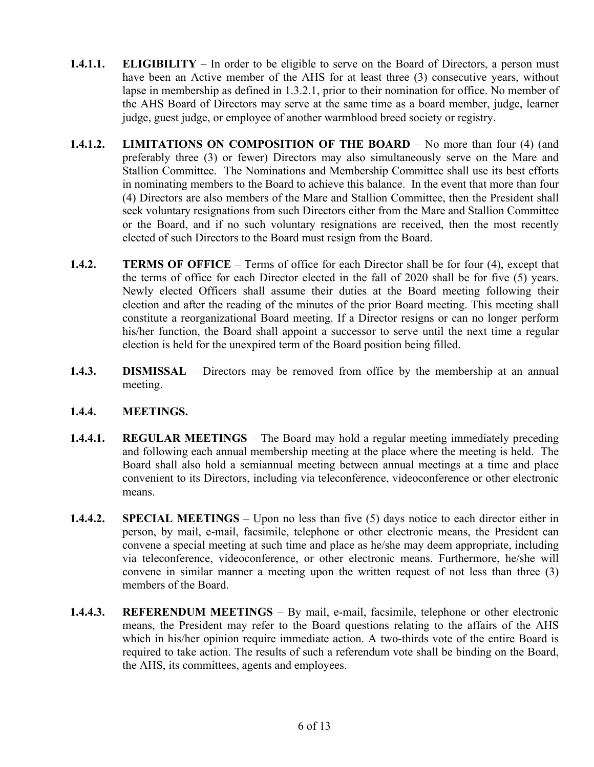- **1.4.1.1. ELIGIBILITY** In order to be eligible to serve on the Board of Directors, a person must have been an Active member of the AHS for at least three (3) consecutive years, without lapse in membership as defined in 1.3.2.1, prior to their nomination for office. No member of the AHS Board of Directors may serve at the same time as a board member, judge, learner judge, guest judge, or employee of another warmblood breed society or registry.
- **1.4.1.2. LIMITATIONS ON COMPOSITION OF THE BOARD** No more than four (4) (and preferably three (3) or fewer) Directors may also simultaneously serve on the Mare and Stallion Committee. The Nominations and Membership Committee shall use its best efforts in nominating members to the Board to achieve this balance. In the event that more than four (4) Directors are also members of the Mare and Stallion Committee, then the President shall seek voluntary resignations from such Directors either from the Mare and Stallion Committee or the Board, and if no such voluntary resignations are received, then the most recently elected of such Directors to the Board must resign from the Board.
- **1.4.2. TERMS OF OFFICE** Terms of office for each Director shall be for four (4), except that the terms of office for each Director elected in the fall of 2020 shall be for five (5) years. Newly elected Officers shall assume their duties at the Board meeting following their election and after the reading of the minutes of the prior Board meeting. This meeting shall constitute a reorganizational Board meeting. If a Director resigns or can no longer perform his/her function, the Board shall appoint a successor to serve until the next time a regular election is held for the unexpired term of the Board position being filled.
- **1.4.3. DISMISSAL** Directors may be removed from office by the membership at an annual meeting.
- **1.4.4. MEETINGS.**
- **1.4.4.1. REGULAR MEETINGS** The Board may hold a regular meeting immediately preceding and following each annual membership meeting at the place where the meeting is held. The Board shall also hold a semiannual meeting between annual meetings at a time and place convenient to its Directors, including via teleconference, videoconference or other electronic means.
- **1.4.4.2. SPECIAL MEETINGS** Upon no less than five (5) days notice to each director either in person, by mail, e-mail, facsimile, telephone or other electronic means, the President can convene a special meeting at such time and place as he/she may deem appropriate, including via teleconference, videoconference, or other electronic means. Furthermore, he/she will convene in similar manner a meeting upon the written request of not less than three (3) members of the Board.
- **1.4.4.3. REFERENDUM MEETINGS** By mail, e-mail, facsimile, telephone or other electronic means, the President may refer to the Board questions relating to the affairs of the AHS which in his/her opinion require immediate action. A two-thirds vote of the entire Board is required to take action. The results of such a referendum vote shall be binding on the Board, the AHS, its committees, agents and employees.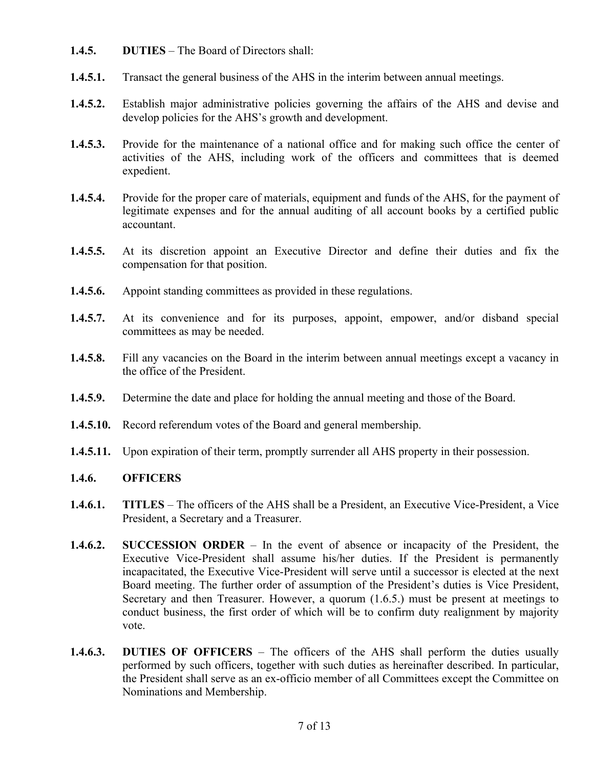- **1.4.5. DUTIES** The Board of Directors shall:
- **1.4.5.1.** Transact the general business of the AHS in the interim between annual meetings.
- **1.4.5.2.** Establish major administrative policies governing the affairs of the AHS and devise and develop policies for the AHS's growth and development.
- **1.4.5.3.** Provide for the maintenance of a national office and for making such office the center of activities of the AHS, including work of the officers and committees that is deemed expedient.
- **1.4.5.4.** Provide for the proper care of materials, equipment and funds of the AHS, for the payment of legitimate expenses and for the annual auditing of all account books by a certified public accountant.
- **1.4.5.5.** At its discretion appoint an Executive Director and define their duties and fix the compensation for that position.
- **1.4.5.6.** Appoint standing committees as provided in these regulations.
- **1.4.5.7.** At its convenience and for its purposes, appoint, empower, and/or disband special committees as may be needed.
- **1.4.5.8.** Fill any vacancies on the Board in the interim between annual meetings except a vacancy in the office of the President.
- **1.4.5.9.** Determine the date and place for holding the annual meeting and those of the Board.
- **1.4.5.10.** Record referendum votes of the Board and general membership.
- **1.4.5.11.** Upon expiration of their term, promptly surrender all AHS property in their possession.

#### **1.4.6. OFFICERS**

- **1.4.6.1. TITLES** The officers of the AHS shall be a President, an Executive Vice-President, a Vice President, a Secretary and a Treasurer.
- **1.4.6.2. SUCCESSION ORDER** In the event of absence or incapacity of the President, the Executive Vice-President shall assume his/her duties. If the President is permanently incapacitated, the Executive Vice-President will serve until a successor is elected at the next Board meeting. The further order of assumption of the President's duties is Vice President, Secretary and then Treasurer. However, a quorum (1.6.5.) must be present at meetings to conduct business, the first order of which will be to confirm duty realignment by majority vote.
- **1.4.6.3. DUTIES OF OFFICERS** The officers of the AHS shall perform the duties usually performed by such officers, together with such duties as hereinafter described. In particular, the President shall serve as an ex-officio member of all Committees except the Committee on Nominations and Membership.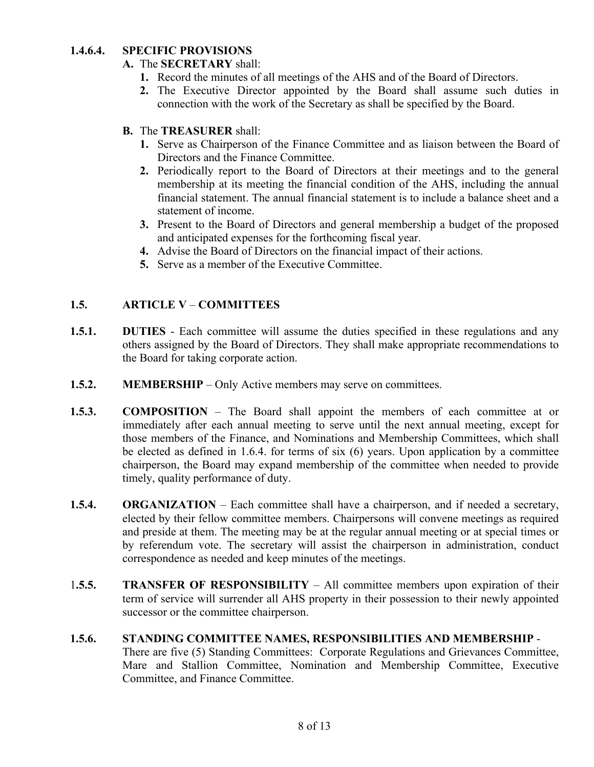# **1.4.6.4. SPECIFIC PROVISIONS**

- **A.** The **SECRETARY** shall:
	- **1.** Record the minutes of all meetings of the AHS and of the Board of Directors.
	- **2.** The Executive Director appointed by the Board shall assume such duties in connection with the work of the Secretary as shall be specified by the Board.

# **B.** The **TREASURER** shall:

- **1.** Serve as Chairperson of the Finance Committee and as liaison between the Board of Directors and the Finance Committee.
- **2.** Periodically report to the Board of Directors at their meetings and to the general membership at its meeting the financial condition of the AHS, including the annual financial statement. The annual financial statement is to include a balance sheet and a statement of income.
- **3.** Present to the Board of Directors and general membership a budget of the proposed and anticipated expenses for the forthcoming fiscal year.
- **4.** Advise the Board of Directors on the financial impact of their actions.
- **5.** Serve as a member of the Executive Committee.

# **1.5. ARTICLE V** – **COMMITTEES**

- **1.5.1. DUTIES** Each committee will assume the duties specified in these regulations and any others assigned by the Board of Directors. They shall make appropriate recommendations to the Board for taking corporate action.
- **1.5.2. MEMBERSHIP** Only Active members may serve on committees.
- **1.5.3. COMPOSITION** The Board shall appoint the members of each committee at or immediately after each annual meeting to serve until the next annual meeting, except for those members of the Finance, and Nominations and Membership Committees, which shall be elected as defined in 1.6.4. for terms of six (6) years. Upon application by a committee chairperson, the Board may expand membership of the committee when needed to provide timely, quality performance of duty.
- **1.5.4. ORGANIZATION** Each committee shall have a chairperson, and if needed a secretary, elected by their fellow committee members. Chairpersons will convene meetings as required and preside at them. The meeting may be at the regular annual meeting or at special times or by referendum vote. The secretary will assist the chairperson in administration, conduct correspondence as needed and keep minutes of the meetings.
- 1**.5.5. TRANSFER OF RESPONSIBILITY** All committee members upon expiration of their term of service will surrender all AHS property in their possession to their newly appointed successor or the committee chairperson.

#### **1.5.6. STANDING COMMITTEE NAMES, RESPONSIBILITIES AND MEMBERSHIP** -

There are five (5) Standing Committees: Corporate Regulations and Grievances Committee, Mare and Stallion Committee, Nomination and Membership Committee, Executive Committee, and Finance Committee.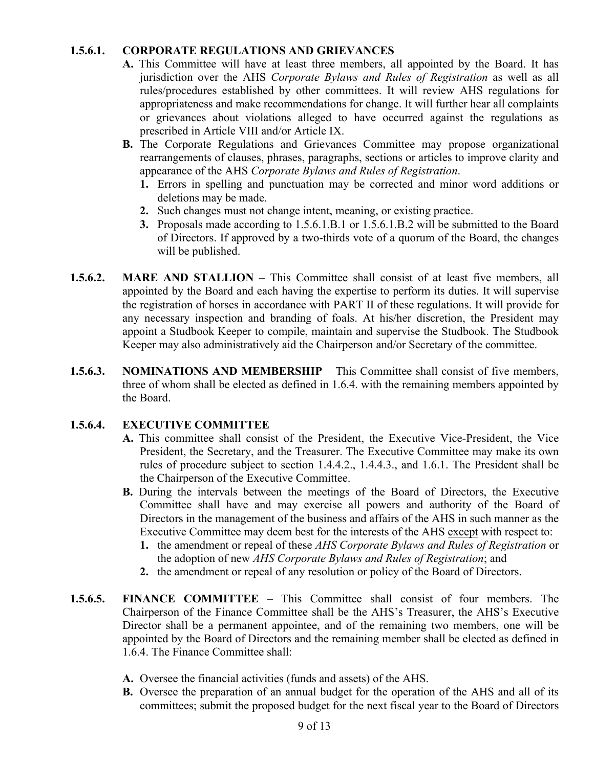# **1.5.6.1. CORPORATE REGULATIONS AND GRIEVANCES**

- **A.** This Committee will have at least three members, all appointed by the Board. It has jurisdiction over the AHS *Corporate Bylaws and Rules of Registration* as well as all rules/procedures established by other committees. It will review AHS regulations for appropriateness and make recommendations for change. It will further hear all complaints or grievances about violations alleged to have occurred against the regulations as prescribed in Article VIII and/or Article IX.
- **B.** The Corporate Regulations and Grievances Committee may propose organizational rearrangements of clauses, phrases, paragraphs, sections or articles to improve clarity and appearance of the AHS *Corporate Bylaws and Rules of Registration*.
	- **1.** Errors in spelling and punctuation may be corrected and minor word additions or deletions may be made.
	- **2.** Such changes must not change intent, meaning, or existing practice.
	- **3.** Proposals made according to 1.5.6.1.B.1 or 1.5.6.1.B.2 will be submitted to the Board of Directors. If approved by a two-thirds vote of a quorum of the Board, the changes will be published.
- **1.5.6.2. MARE AND STALLION** This Committee shall consist of at least five members, all appointed by the Board and each having the expertise to perform its duties. It will supervise the registration of horses in accordance with PART II of these regulations. It will provide for any necessary inspection and branding of foals. At his/her discretion, the President may appoint a Studbook Keeper to compile, maintain and supervise the Studbook. The Studbook Keeper may also administratively aid the Chairperson and/or Secretary of the committee.
- **1.5.6.3. NOMINATIONS AND MEMBERSHIP** This Committee shall consist of five members, three of whom shall be elected as defined in 1.6.4. with the remaining members appointed by the Board.

# **1.5.6.4. EXECUTIVE COMMITTEE**

- **A.** This committee shall consist of the President, the Executive Vice-President, the Vice President, the Secretary, and the Treasurer. The Executive Committee may make its own rules of procedure subject to section 1.4.4.2., 1.4.4.3., and 1.6.1. The President shall be the Chairperson of the Executive Committee.
- **B.** During the intervals between the meetings of the Board of Directors, the Executive Committee shall have and may exercise all powers and authority of the Board of Directors in the management of the business and affairs of the AHS in such manner as the Executive Committee may deem best for the interests of the AHS except with respect to:
	- **1.** the amendment or repeal of these *AHS Corporate Bylaws and Rules of Registration* or the adoption of new *AHS Corporate Bylaws and Rules of Registration*; and
	- **2.** the amendment or repeal of any resolution or policy of the Board of Directors.
- **1.5.6.5. FINANCE COMMITTEE** This Committee shall consist of four members. The Chairperson of the Finance Committee shall be the AHS's Treasurer, the AHS's Executive Director shall be a permanent appointee, and of the remaining two members, one will be appointed by the Board of Directors and the remaining member shall be elected as defined in 1.6.4. The Finance Committee shall:
	- **A.** Oversee the financial activities (funds and assets) of the AHS.
	- **B.** Oversee the preparation of an annual budget for the operation of the AHS and all of its committees; submit the proposed budget for the next fiscal year to the Board of Directors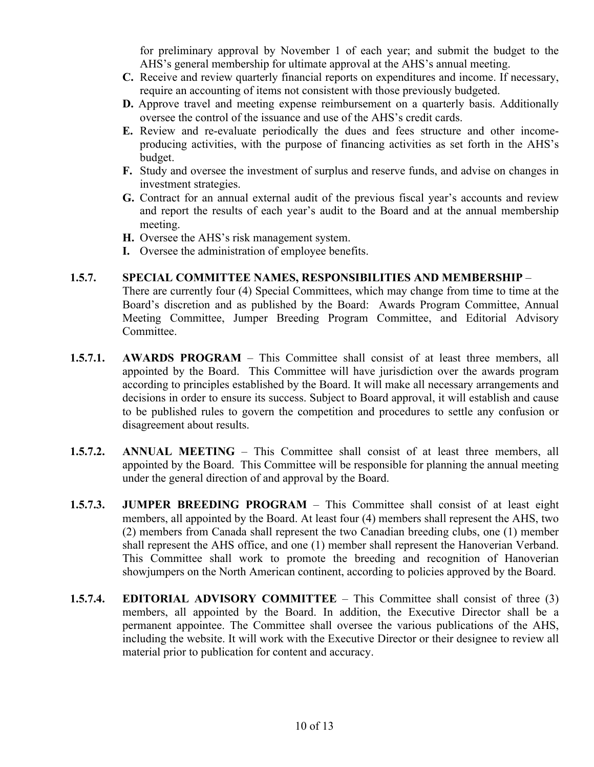for preliminary approval by November 1 of each year; and submit the budget to the AHS's general membership for ultimate approval at the AHS's annual meeting.

- **C.** Receive and review quarterly financial reports on expenditures and income. If necessary, require an accounting of items not consistent with those previously budgeted.
- **D.** Approve travel and meeting expense reimbursement on a quarterly basis. Additionally oversee the control of the issuance and use of the AHS's credit cards.
- **E.** Review and re-evaluate periodically the dues and fees structure and other incomeproducing activities, with the purpose of financing activities as set forth in the AHS's budget.
- **F.** Study and oversee the investment of surplus and reserve funds, and advise on changes in investment strategies.
- **G.** Contract for an annual external audit of the previous fiscal year's accounts and review and report the results of each year's audit to the Board and at the annual membership meeting.
- **H.** Oversee the AHS's risk management system.
- **I.** Oversee the administration of employee benefits.

# **1.5.7. SPECIAL COMMITTEE NAMES, RESPONSIBILITIES AND MEMBERSHIP** –

There are currently four (4) Special Committees, which may change from time to time at the Board's discretion and as published by the Board: Awards Program Committee, Annual Meeting Committee, Jumper Breeding Program Committee, and Editorial Advisory Committee.

- **1.5.7.1. AWARDS PROGRAM** This Committee shall consist of at least three members, all appointed by the Board. This Committee will have jurisdiction over the awards program according to principles established by the Board. It will make all necessary arrangements and decisions in order to ensure its success. Subject to Board approval, it will establish and cause to be published rules to govern the competition and procedures to settle any confusion or disagreement about results.
- **1.5.7.2. ANNUAL MEETING** This Committee shall consist of at least three members, all appointed by the Board. This Committee will be responsible for planning the annual meeting under the general direction of and approval by the Board.
- **1.5.7.3. JUMPER BREEDING PROGRAM** This Committee shall consist of at least eight members, all appointed by the Board. At least four (4) members shall represent the AHS, two (2) members from Canada shall represent the two Canadian breeding clubs, one (1) member shall represent the AHS office, and one (1) member shall represent the Hanoverian Verband. This Committee shall work to promote the breeding and recognition of Hanoverian showjumpers on the North American continent, according to policies approved by the Board.
- **1.5.7.4. EDITORIAL ADVISORY COMMITTEE** This Committee shall consist of three (3) members, all appointed by the Board. In addition, the Executive Director shall be a permanent appointee. The Committee shall oversee the various publications of the AHS, including the website. It will work with the Executive Director or their designee to review all material prior to publication for content and accuracy.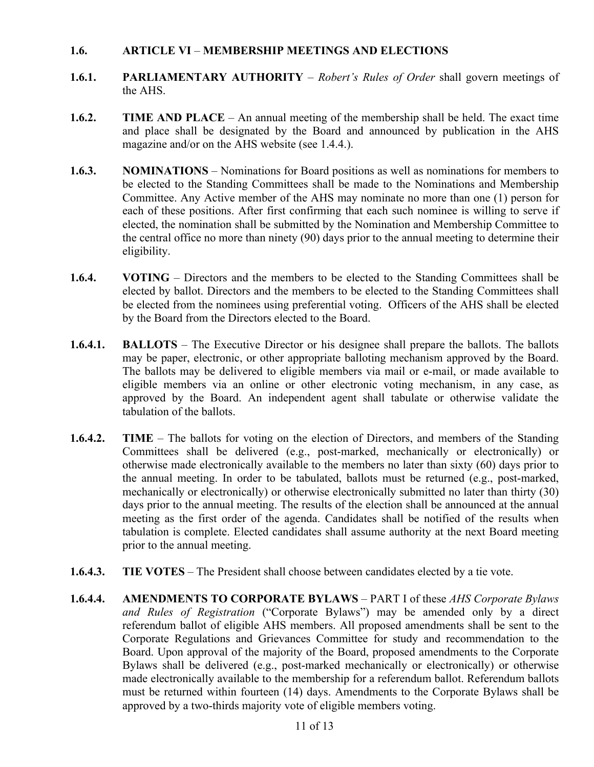### **1.6. ARTICLE VI** – **MEMBERSHIP MEETINGS AND ELECTIONS**

- **1.6.1. PARLIAMENTARY AUTHORITY** *Robert's Rules of Order* shall govern meetings of the AHS.
- **1.6.2. TIME AND PLACE** An annual meeting of the membership shall be held. The exact time and place shall be designated by the Board and announced by publication in the AHS magazine and/or on the AHS website (see 1.4.4.).
- **1.6.3. NOMINATIONS** Nominations for Board positions as well as nominations for members to be elected to the Standing Committees shall be made to the Nominations and Membership Committee. Any Active member of the AHS may nominate no more than one (1) person for each of these positions. After first confirming that each such nominee is willing to serve if elected, the nomination shall be submitted by the Nomination and Membership Committee to the central office no more than ninety (90) days prior to the annual meeting to determine their eligibility.
- **1.6.4. VOTING** Directors and the members to be elected to the Standing Committees shall be elected by ballot. Directors and the members to be elected to the Standing Committees shall be elected from the nominees using preferential voting. Officers of the AHS shall be elected by the Board from the Directors elected to the Board.
- **1.6.4.1. BALLOTS** The Executive Director or his designee shall prepare the ballots. The ballots may be paper, electronic, or other appropriate balloting mechanism approved by the Board. The ballots may be delivered to eligible members via mail or e-mail, or made available to eligible members via an online or other electronic voting mechanism, in any case, as approved by the Board. An independent agent shall tabulate or otherwise validate the tabulation of the ballots.
- **1.6.4.2. TIME** The ballots for voting on the election of Directors, and members of the Standing Committees shall be delivered (e.g., post-marked, mechanically or electronically) or otherwise made electronically available to the members no later than sixty (60) days prior to the annual meeting. In order to be tabulated, ballots must be returned (e.g., post-marked, mechanically or electronically) or otherwise electronically submitted no later than thirty (30) days prior to the annual meeting. The results of the election shall be announced at the annual meeting as the first order of the agenda. Candidates shall be notified of the results when tabulation is complete. Elected candidates shall assume authority at the next Board meeting prior to the annual meeting.
- **1.6.4.3. TIE VOTES** The President shall choose between candidates elected by a tie vote.
- **1.6.4.4. AMENDMENTS TO CORPORATE BYLAWS** PART I of these *AHS Corporate Bylaws and Rules of Registration* ("Corporate Bylaws") may be amended only by a direct referendum ballot of eligible AHS members. All proposed amendments shall be sent to the Corporate Regulations and Grievances Committee for study and recommendation to the Board. Upon approval of the majority of the Board, proposed amendments to the Corporate Bylaws shall be delivered (e.g., post-marked mechanically or electronically) or otherwise made electronically available to the membership for a referendum ballot. Referendum ballots must be returned within fourteen (14) days. Amendments to the Corporate Bylaws shall be approved by a two-thirds majority vote of eligible members voting.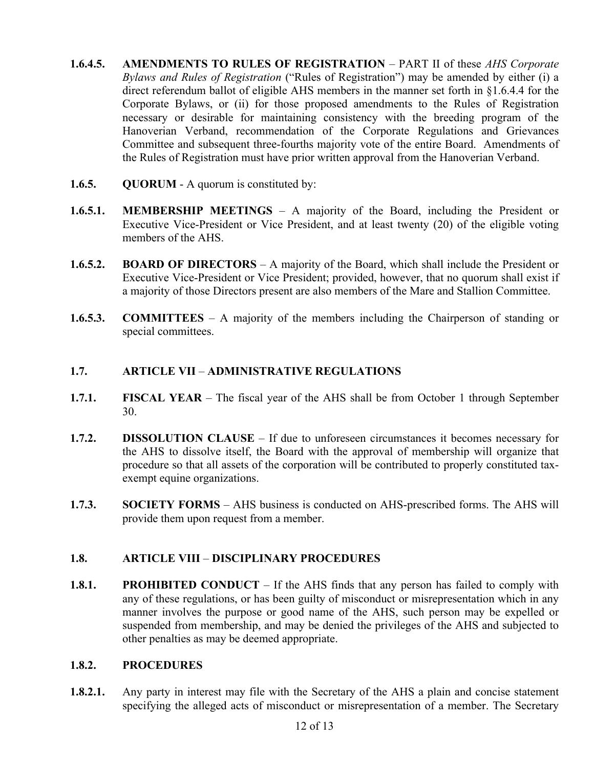- **1.6.4.5. AMENDMENTS TO RULES OF REGISTRATION**  PART II of these *AHS Corporate Bylaws and Rules of Registration* ("Rules of Registration") may be amended by either (i) a direct referendum ballot of eligible AHS members in the manner set forth in §1.6.4.4 for the Corporate Bylaws, or (ii) for those proposed amendments to the Rules of Registration necessary or desirable for maintaining consistency with the breeding program of the Hanoverian Verband, recommendation of the Corporate Regulations and Grievances Committee and subsequent three-fourths majority vote of the entire Board. Amendments of the Rules of Registration must have prior written approval from the Hanoverian Verband.
- **1.6.5. QUORUM** A quorum is constituted by:
- **1.6.5.1. MEMBERSHIP MEETINGS** A majority of the Board, including the President or Executive Vice-President or Vice President, and at least twenty (20) of the eligible voting members of the AHS.
- **1.6.5.2. BOARD OF DIRECTORS** A majority of the Board, which shall include the President or Executive Vice-President or Vice President; provided, however, that no quorum shall exist if a majority of those Directors present are also members of the Mare and Stallion Committee.
- **1.6.5.3. COMMITTEES** A majority of the members including the Chairperson of standing or special committees.

# **1.7. ARTICLE VII** – **ADMINISTRATIVE REGULATIONS**

- **1.7.1. FISCAL YEAR** The fiscal year of the AHS shall be from October 1 through September 30.
- **1.7.2. DISSOLUTION CLAUSE** If due to unforeseen circumstances it becomes necessary for the AHS to dissolve itself, the Board with the approval of membership will organize that procedure so that all assets of the corporation will be contributed to properly constituted taxexempt equine organizations.
- **1.7.3. SOCIETY FORMS** AHS business is conducted on AHS-prescribed forms. The AHS will provide them upon request from a member.

# **1.8. ARTICLE VIII** – **DISCIPLINARY PROCEDURES**

**1.8.1. PROHIBITED CONDUCT** – If the AHS finds that any person has failed to comply with any of these regulations, or has been guilty of misconduct or misrepresentation which in any manner involves the purpose or good name of the AHS, such person may be expelled or suspended from membership, and may be denied the privileges of the AHS and subjected to other penalties as may be deemed appropriate.

#### **1.8.2. PROCEDURES**

**1.8.2.1.** Any party in interest may file with the Secretary of the AHS a plain and concise statement specifying the alleged acts of misconduct or misrepresentation of a member. The Secretary